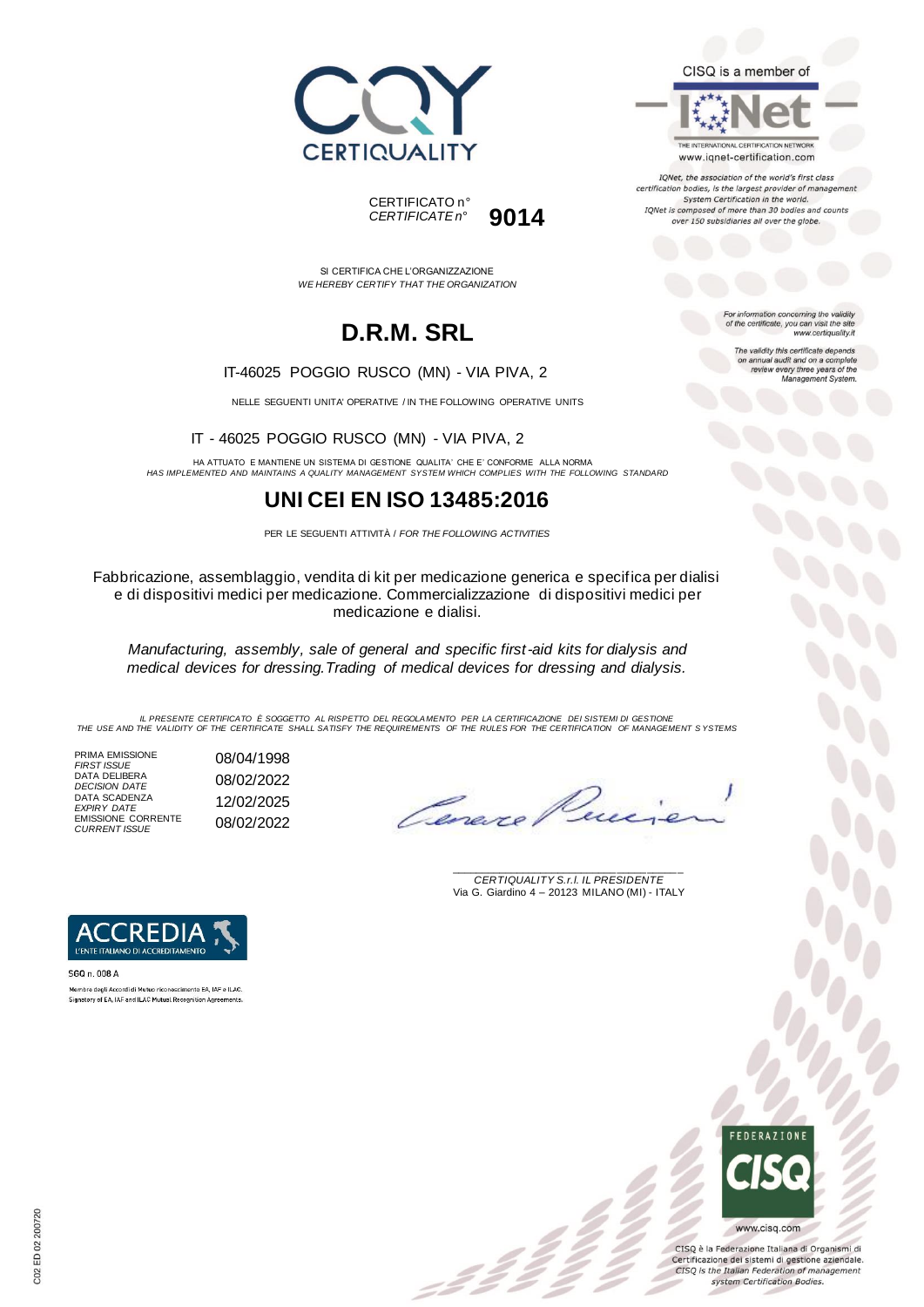



SI CERTIFICA CHE L'ORGANIZZAZIONE *WE HEREBY CERTIFY THAT THE ORGANIZATION*

# **D.R.M. SRL**

#### IT-46025 POGGIO RUSCO (MN) - VIA PIVA, 2

NELLE SEGUENTI UNITA' OPERATIVE / IN THE FOLLOWING OPERATIVE UNITS

IT - 46025 POGGIO RUSCO (MN) - VIA PIVA, 2

HA ATTUATO E MANTIENE UN SISTEMA DI GESTIONE QUALITA' CHE E' CONFORME ALLA NORMA *HAS IMPLEMENTED AND MAINTAINS A QUALITY MANAGEMENT SYSTEM WHICH COMPLIES WITH THE FOLLOWING STANDARD*

## **UNI CEI EN ISO 13485:2016**

PER LE SEGUENTI ATTIVITÀ / *FOR THE FOLLOWING ACTIVITIES*

Fabbricazione, assemblaggio, vendita di kit per medicazione generica e specifica per dialisi e di dispositivi medici per medicazione. Commercializzazione di dispositivi medici per medicazione e dialisi.

*Manufacturing, assembly, sale of general and specific first-aid kits for dialysis and medical devices for dressing.Trading of medical devices for dressing and dialysis.*

IL PRESENTE CERTIFICATO E SOGGETTO AL RISPETTO DEL REGOLAMENTO PER LA CERTIFICAZIONE DEI SISTEMI DI GESTIONE<br>THE USE AND THE VALIDITY OF THE CERTIFICATE SHALL SATISFY THE REQUIREMENTS OF THE RULES FOR THE CERTIFICATION OF

= 2 2<br>-

PRIMA EMISSIONE *FIRST ISSUE* 08/04/1998 DATA DELIBERA *DECISION DATE* 08/02/2022 DATA SCADENZA *EXPIRY DATE* 12/02/2025 EMISSIONE CORRENTE *CURRENT ISSUE* 08/02/2022

Cereve

\_\_\_\_\_\_\_\_\_\_\_\_\_\_\_\_\_\_\_\_\_\_\_\_\_\_\_\_\_\_\_\_\_\_\_\_\_\_\_ *CERTIQUALITY S.r.l. IL PRESIDENTE* Via G. Giardino 4 – 20123 MILANO (MI) - ITALY



SGQ n. 008 A Membro degli Accordi di Mutuo riconoscimento EA, IAF e ILAC Signatory of EA, IAF and ILAC Mutual Recognition Agreements



CISQ è la Federazione Italiana di Organismi di Certificazione dei sistemi di gestione aziendale. CISQ is the Italian Federation of management system Certification Bodies.



www.iqnet-certification.com

IQNet, the association of the world's first class certification bodies, is the largest provider of managem System Certification in the world. IQNet is composed of more than 30 bodies and counts over 150 subsidiaries all over the globe.

> For information concerning the validity<br>of the certificate, you can visit the site www.certiquality.it

> > The validity this certificate depends on annual audit and on a complete<br>review every three years of the<br>Management System.